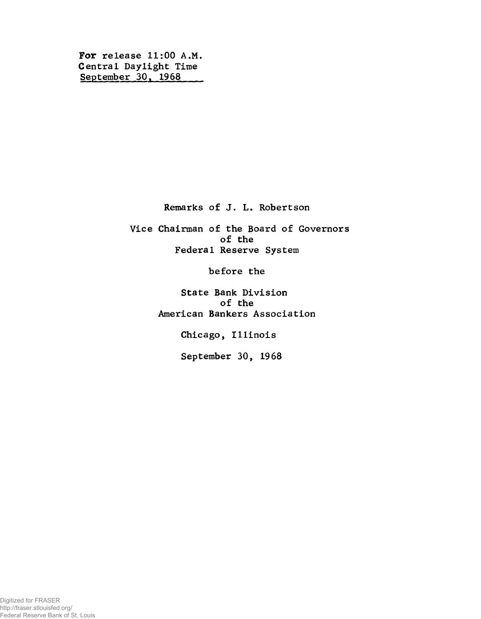**For release 11:00 A.M. Central Daylight Time September 30, 1968**

**Remarks of J. L. Robertson**

**Vice Chairman of the Board of Governors of the Federal Reserve System**

**before the**

**State Bank Division of the American Bankers Association**

**Chicago, Illinois**

**September 30, 1968**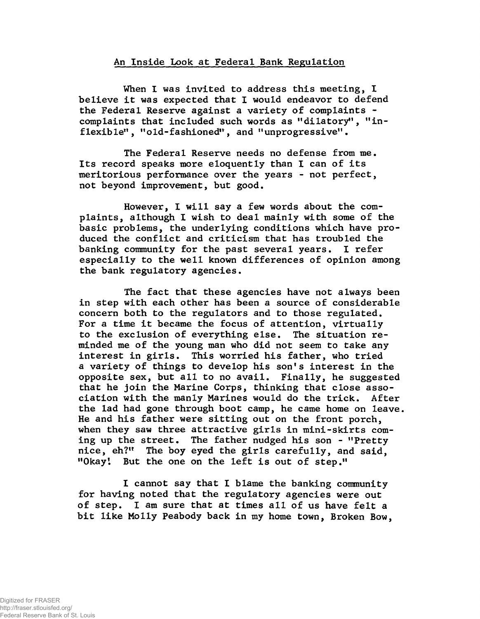## **An Inside Look at Federal Bank Regulation**

**When I was invited to address this meeting, I believe it was expected that I would endeavor to defend the Federal Reserve against a variety of complaints complaints that included such words as "dilatory", "inflexible", "old-fashioned", and "unprogressive".**

**The Federal Reserve needs no defense from me. Its record speaks more eloquently than I can of its meritorious performance over the years - not perfect, not beyond improvement, but good.**

**However, I will say a few words about the complaints, although I wish to deal mainly with some of the basic problems, the underlying conditions which have produced the conflict and criticism that has troubled the banking community for the past several years. I refer especially to the well known differences of opinion among the bank regulatory agencies.**

**The fact that these agencies have not always been in step with each other has been a source of considerable concern both to the regulators and to those regulated. For a time it became the focus of attention, virtually to the exclusion of everything else. The situation reminded me of the young man who did not seem to take any interest in girls. This worried his father, who tried a variety of things to develop his son's interest in the opposite sex, but all to no avail. Finally, he suggested that he join the Marine Corps, thinking that close association with the manly Marines would do the trick. After the lad had gone through boot camp, he came home on leave. He and his father were sitting out on the front porch, when they saw three attractive girls in mini-skirts coming up the street. The father nudged his son - "Pretty nice, eh?" The boy eyed the girls carefully, and said, "Okay'. But the one on the left is out of step."**

**I cannot say that I blame the banking community for having noted that the regulatory agencies were out of step. I am sure that at times all of us have felt a bit like Molly Peabody back in my home town, Broken Bow,**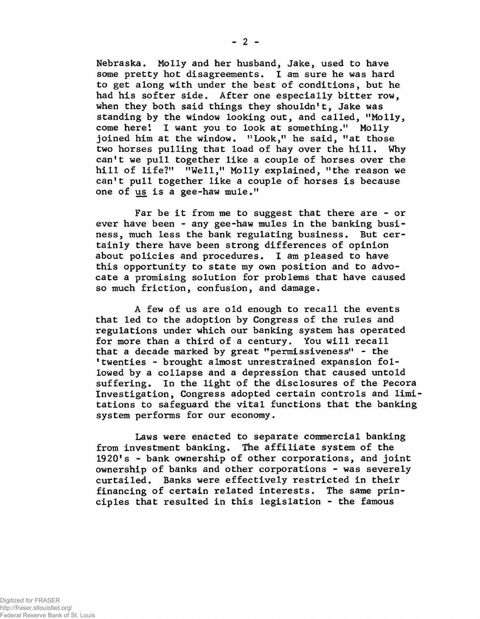**Nebraska. Molly and her husband, Jake, used to have some pretty hot disagreements. I am sure he was hard to get along with under the best of conditions, but he had his softer side. After one especially bitter row, when they both said things they shouldn't, Jake was standing by the window looking out, and called, "Molly, come here'. I want you to look at something." Molly joined him at the window. "Look," he said, "at those two horses pulling that load of hay over the hill. Why can't we pull together like a couple of horses over the hill of life?" "Well," Molly explained, "the reason we can't pull together like a couple of horses is because one of us is a gee-haw mule."**

**Far be it from me to suggest that there are - or ever have been - any gee-haw mules in the banking business, much less the bank regulating business. But certainly there have been strong differences of opinion about policies and procedures. I am pleased to have this opportunity to state my own position and to advocate a promising solution for problems that have caused so much friction, confusion, and damage.**

**A few of us are old enough to recall the events that led to the adoption by Congress of the rules and regulations under which our banking system has operated for more than a third of a century. You will recall that a decade marked by great "permissiveness" - the 'twenties - brought almost unrestrained expansion followed by a collapse and a depression that caused untold suffering. In the light of the disclosures of the Pecora Investigation, Congress adopted certain controls and limi tations to safeguard the vital functions that the banking system performs for our economy.**

**Laws were enacted to separate commercial banking from investment banking. The affiliate system of the 1920's - bank ownership of other corporations, and joint ownership of banks and other corporations - was severely curtailed. Banks were effectively restricted in their financing of certain related interests. The same principles that resulted in this legislation - the famous**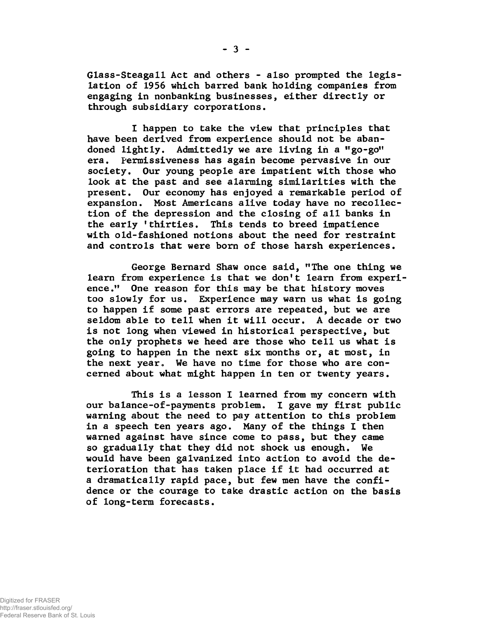**Glass-Steagall Act and others - also prompted the legislation of 1956 which barred bank holding companies from engaging in nonbanking businesses, either directly or through subsidiary corporations.**

**I happen to take the view that principles that have been derived from experience should not be abandoned lightly. Admittedly we are living in a «go-go" era. Permissiveness has again become pervasive in our society. Our young people are impatient with those who look at the past and see alarming similarities with the present. Our economy has enjoyed a remarkable period of expansion. Most Americans alive today have no recollection of the depression and the closing of all banks in the early 'thirties. This tends to breed impatience with old-fashioned notions about the need for restraint and controls that were born of those harsh experiences.**

**George Bernard Shaw once said, "The one thing we learn from experience is that we don't learn from experience." One reason for this may be that history moves too slowly for us. Experience may warn us what is going to happen if some past errors are repeated, but we are seldom able to tell when it will occur. A decade or two is not long when viewed in historical perspective, but the only prophets we heed are those who tell us what is going to happen in the next six months or, at most, in the next year. We have no time for those who are concerned about what might happen in ten or twenty years.**

**This is a lesson I learned from my concern with our balance-of-payments problem. I gave my first public warning about the need to pay attention to this problem in a speech ten years ago. Many of the things I then warned against have since come to pass, but they came so gradually that they did not shock us enough. We would have been galvanized into action to avoid the deterioration that has taken place if it had occurred at a dramatically rapid pace, but few men have the confidence or the courage to take drastic action on the basis of long-term forecasts.**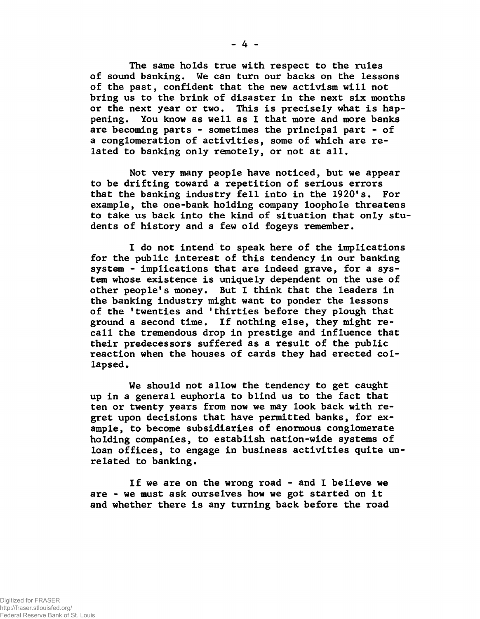**The same holds true with respect to the rules of sound banking. We can turn our backs on the lessons of the past, confident that the new activism will not bring us to the brink of disaster in the next six months or the next year or two. This is precisely what is happening. You know as well as I that more and more banks are becoming parts - sometimes the principal part - of a conglomeration of activities, some of which are related to banking only remotely, or not at all.**

**Not very many people have noticed, but we appear to be drifting toward a repetition of serious errors that the banking industry fell into in the 1920's. For example, the one-bank holding company loophole threatens to take us back into the kind of situation that only students of history and a few old fogeys remember.**

**I do not intend to speak here of the implications for the public interest of this tendency in our banking system - implications that are indeed grave, for a system whose existence is uniquely dependent on the use of other people's money. But I think that the leaders in the banking industry might want to ponder the lessons of the 'twenties and 'thirties before they plough that ground a second time. If nothing else, they might recall the tremendous drop in prestige and influence that their predecessors suffered as a result of the public reaction when the houses of cards they had erected collapsed .**

**We should not allow the tendency to get caught up in a general euphoria to blind us to the fact that ten or twenty years from now we may look back with regret upon decisions that have permitted banks, for example, to become subsidiaries of enormous conglomerate holding companies, to establish nation-wide systems of loan offices, to engage in business activities quite unrelated to banking.**

**If we are on the wrong road - and I believe we are - we must ask ourselves how we got started on it and whether there is any turning back before the road**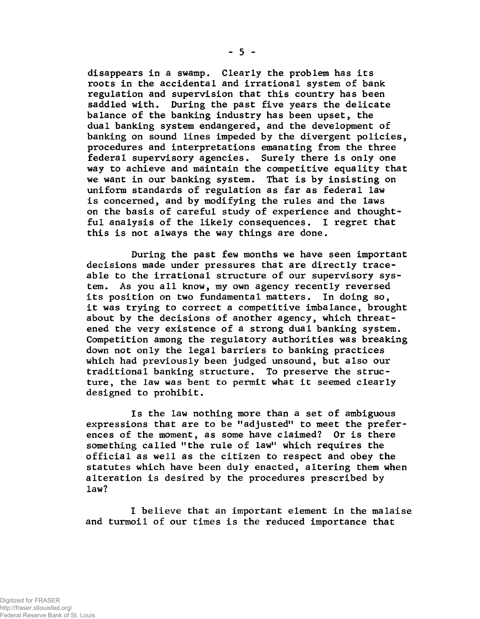**disappears in a swamp. Clearly the problem has its roots in the accidental and irrational system of bank regulation and supervision that this country has been saddled with. During the past five years the delicate balance of the banking industry has been upset, the dual banking system endangered, and the development of banking on sound lines impeded by the divergent policies, procedures and interpretations emanating from the three federal supervisory agencies. Surely there is only one way to achieve and maintain the competitive equality that we want in our banking system. That is by insisting on uniform standards of regulation as far as federal law is concerned, and by modifying the rules and the laws on the basis of careful study of experience and thoughtful analysis of the likely consequences. I regret that this is not always the way things are done.**

**During the past few months we have seen important decisions made under pressures that are directly traceable to the irrational structure of our supervisory system. As you all know, my own agency recently reversed its position on two fundamental matters. In doing so, it was trying to correct a competitive imbalance, brought about by the decisions of another agency, which threatened the very existence of a strong dual banking system. Competition among the regulatory authorities was breaking down not only the legal barriers to banking practices which had previously been judged unsound, but also our traditional banking structure. To preserve the structure, the law was bent to permit what it seemed clearly designed to prohibit.**

**Is the law nothing more than a set of ambiguous expressions that are to be "adjusted" to meet the preferences of the moment, as some have claimed? Or is there something called "the rule of law" which requires the official as well as the citizen to respect and obey the statutes which have been duly enacted, altering them when alteration is desired by the procedures prescribed by law?**

**I believe that an important element in the malaise and turmoil of our times is the reduced importance that**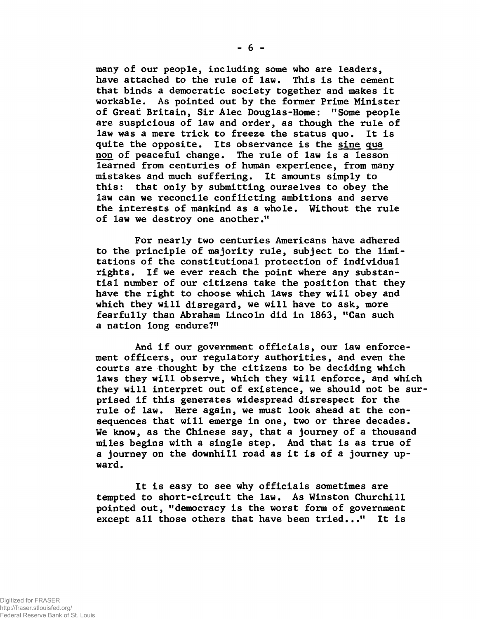**many of our people, including some who are leaders, have attached to the rule of law. This is the cement that binds a democratic society together and makes it workable. As pointed out by the former Prime Minister of Great Britain, Sir Alec Douglas-Home: "Some people are suspicious of law and order, as though the rule of law was a mere trick to freeze the status quo. It is quite the opposite. Its observance is the sine qua non of peaceful change. The rule of law is a lesson learned from centuries of human experience, from many mistakes and much suffering. It amounts simply to this: that only by submitting ourselves to obey the law can we reconcile conflicting ambitions and serve the interests of mankind as a whole. Without the rule of law we destroy one another."**

**For nearly two centuries Americans have adhered to the principle of majority rule, subject to the limitations of the constitutional protection of individual rights. If we ever reach the point where any substantial number of our citizens take the position that they have the right to choose which laws they will obey and which they will disregard, we will have to ask, more fearfully than Abraham Lincoln did in 1863, "Can such a nation long endure?"**

**And if our government officials, our law enforcement officers, our regulatory authorities, and even the courts are thought by the citizens to be deciding which laws they will observe, which they will enforce, and which they will interpret out of existence, we should not be sur prised if this generates widespread disrespect for the rule of law. Here again, we must look ahead at the consequences that will emerge in one, two or three decades. We know, as the Chinese say, that a journey of a thousand miles begins with a single step. And that is as true of a journey on the downhill road as it is of a journey upward.**

**It is easy to see why officials sometimes are tempted to short-circuit the law. As Winston Churchill pointed out, "democracy is the worst form of government except all those others that have been tried..." It is**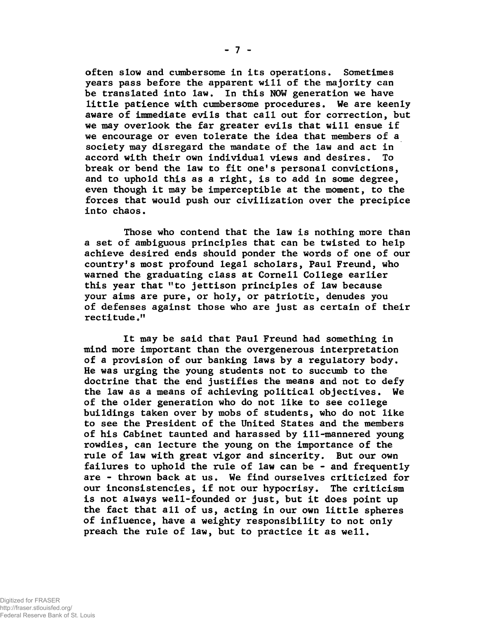**often slow and cumbersome in its operations. Sometimes years pass before the apparent will of the majority can be translated into law. In this NOW generation we have little patience with cumbersome procedures. We are keenly aware of immediate evils that call out for correction, but we may overlook the far greater evils that will ensue if we encourage or even tolerate the idea that members of a society may disregard the mandate of the law and act in accord with their own individual views and desires. To break or bend the law to fit one's personal convictions, and to uphold this as a right, is to add in some degree, even though it may be imperceptible at the moment, to the forces that would push our civilization over the precipice into chaos.**

**Those who contend that the law is nothing more than a set of ambiguous principles that can be twisted to help achieve desired ends should ponder the words of one of our country's most profound legal scholars, Paul Freund, who warned the graduating class at Cornell College earlier this year that "to jettison principles of law because your aims are pure, or holy, or patriotic, denudes you of defenses against those who are just as certain of their rectitude""**

**It may be said that Paul Freund had something in mind more important than the overgenerous interpretation of a provision of our banking laws by a regulatory body. He was urging the young students not to succumb to the doctrine that the end justifies the means and not to defy the law as a means of achieving political objectives. We of the older generation who do not like to see college buildings taken over by mobs of students, who do not like to see the President of the United States and the members of his Cabinet taunted and harassed by ill-mannered young rowdies, can lecture the young on the importance of the rule of law with great vigor and sincerity. But our own failures to uphold the rule of law can be - and frequently are - thrown back at us. We find ourselves criticized for our inconsistencies, if not our hypocrisy. The criticism is not always well-founded or just, but it does point up the fact that all of us, acting in our own little spheres of influence, have a weighty responsibility to not only preach the rule of law, but to practice it as well.**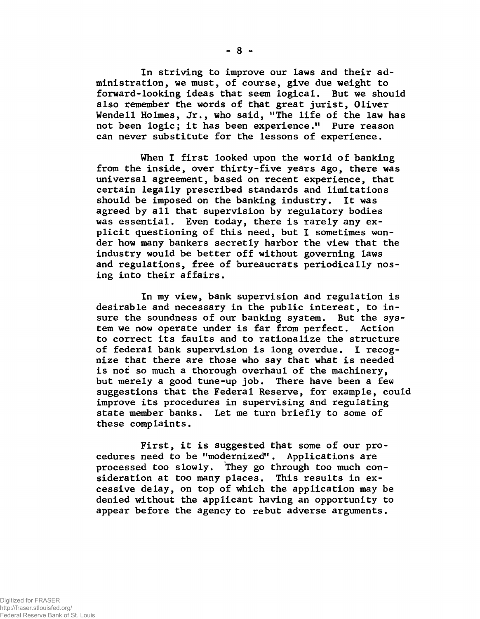**In striving to improve our laws and their administration, we must, of course, give due weight to forward-looking ideas that seem logical. But we should also remember the words of that great jurist, Oliver Wendell Holmes, Jr., who said, "The life of the law has not been logic; it has been experience." Pure reason can never substitute for the lessons of experience.**

**When I first looked upon the world of banking from the inside, over thirty-five years ago, there was universal agreement, based on recent experience, that certain legally prescribed standards and limitations should be imposed on the banking industry. It was agreed by all that supervision by regulatory bodies was essential. Even today, there is rarely any explicit questioning of this need, but I sometimes wonder how many bankers secretly harbor the view that the industry would be better off without governing laws and regulations, free of bureaucrats periodically nosing into their affairs.**

**In my view, bank supervision and regulation is desirable and necessary in the public interest, to insure the soundness of our banking system. But the system we now operate under is far from perfect. Action to correct its faults and to rationalize the structure of federal bank supervision is long overdue. I recognize that there are those who say that what is needed is not so much a thorough overhaul of the machinery, but merely a good tune-up job. There have been a few suggestions that the Federal Reserve, for example, could improve its procedures in supervising and regulating state member banks. Let me turn briefly to some of these complaints.**

**First, it is suggested that some of our procedures need to be "modernized". Applications are processed too slowly. They go through too much consideration at too many places. This results in excessive delay, on top of which the application may be denied without the applicant having an opportunity to appear before the agency to rebut adverse arguments.**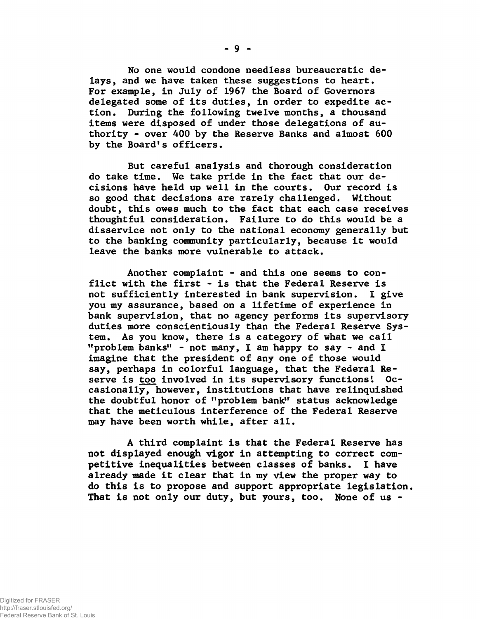**No one would condone needless bureaucratic delays, and we have taken these suggestions to heart. For example, in July of 1967 the Board of Governors delegated some of its duties, in order to expedite action. During the following twelve months, a thousand items were disposed of under those delegations of authority - over 400 by the Reserve Banks and almost 600 by the Board's officers.**

**But careful analysis and thorough consideration do take time. We take pride in the fact that our decisions have held up well in the courts. Our record is so good that decisions are rarely challenged. Without doubt, this owes much to the fact that each case receives thoughtful consideration. Failure to do this would be a disservice not only to the national economy generally but to the banking community particularly, because it would leave the banks more vulnerable to attack.**

**Another complaint - and this one seems to conflict with the first - is that the Federal Reserve is not sufficiently interested in bank supervision. I give you my assurance, based on a lifetime of experience in bank supervision, that no agency performs its supervisory duties more conscientiously than the Federal Reserve System. As you know, there is a category of what we call "problem banks" - not many, I am happy to say - and I imagine that the president of any one of those would say, perhaps in colorful language, that the Federal Reserve is too involved in its supervisory functions'. Occasionally, however, institutions that have relinquished the doubtful honor of "problem bank" status acknowledge that the meticulous interference of the Federal Reserve may have been worth while, after all.**

**A third complaint is that the Federal Reserve has not displayed enough vigor in attempting to correct competitive inequalities between classes of banks. I have already made it clear that in my view the proper way to do this is to propose and support appropriate legislation. That is not only our duty, but yours, too. None of us -**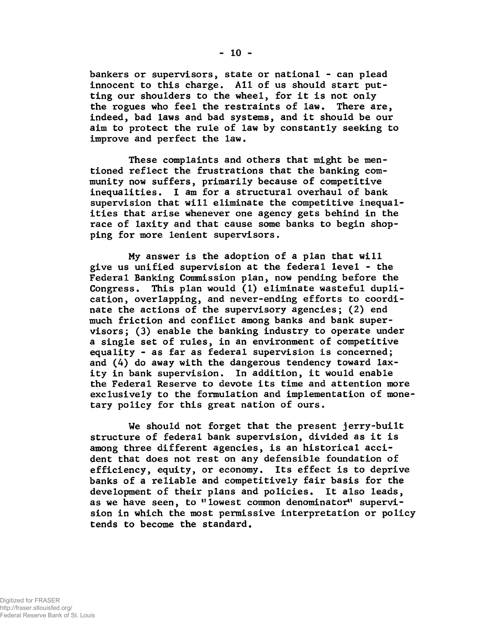**bankers or supervisors, state or national - can plead innocent to this charge. All of us should start putting our shoulders to the wheel, for it is not only the rogues who feel the restraints of law. There are, indeed, bad laws and bad systems, and it should be our aim to protect the rule of law by constantly seeking to improve and perfect the law.**

**These complaints and others that might be mentioned reflect the frustrations that the banking community now suffers, primarily because of competitive inequalities. I am for a structural overhaul of bank supervision that will eliminate the competitive inequalities that arise whenever one agency gets behind in the race of laxity and that cause some banks to begin shopping for more lenient supervisors.**

**My answer is the adoption of a plan that will give us unified supervision at the federal level - the Federal Banking Commission plan, now pending before the Congress. This plan would (1) eliminate wasteful duplication, overlapping, and never-ending efforts to coordinate the actions of the supervisory agencies; (2) end much friction and conflict among banks and bank supervisors; (3) enable the banking industry to operate under a single set of rules, in an environment of competitive equality - as far as federal supervision is concerned; and (4) do away with the dangerous tendency toward laxity in bank supervision. In addition, it would enable the Federal Reserve to devote its time and attention more exclusively to the formulation and implementation of monetary policy for this great nation of ours.**

**We should not forget that the present jerry-built structure of federal bank supervision, divided as it is among three different agencies, is an historical accident that does not rest on any defensible foundation of efficiency, equity, or economy. Its effect is to deprive banks of a reliable and competitively fair basis for the development of their plans and policies. It also leads,** as we have seen, to "lowest common denominator" supervi**sion in which the most permissive interpretation or policy tends to become the standard.**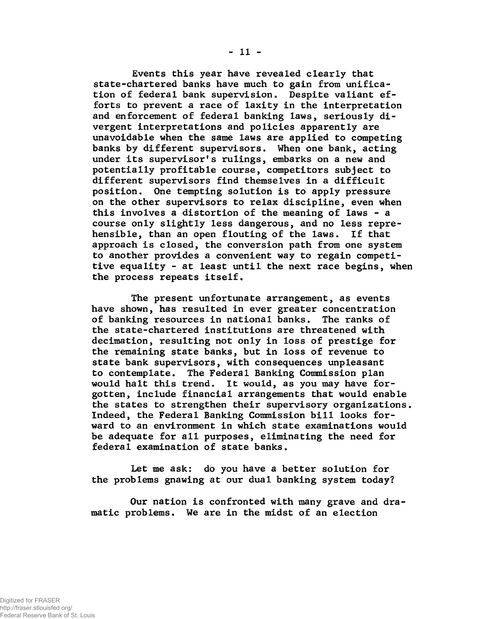**Events this year have revealed clearly that state-chartered banks have much to gain from unification of federal bank supervision» Despite valiant efforts to prevent a race of laxity in the interpretation and enforcement of federal banking laws, seriously divergent interpretations and policies apparently are unavoidable when the same laws are applied to competing banks by different supervisors. When one bank, acting under its supervisor's rulings, embarks on a new and potentially profitable course, competitors subject to different supervisors find themselves in a difficult position. One tempting solution is to apply pressure on the other supervisors to relax discipline, even when this involves a distortion of the meaning of laws - a course only slightly less dangerous, and no less reprehensible, than an open flouting of the laws. If that approach is closed, the conversion path from one system to another provides a convenient way to regain competitive equality - at least until the next race begins, when the process repeats itself.**

**The present unfortunate arrangement, as events have shown, has resulted in ever greater concentration of banking resources in national banks. The ranks of the state-chartered institutions are threatened with decimation, resulting not only in loss of prestige for the remaining state banks, but in loss of revenue to state bank supervisors, with consequences unpleasant to contemplate. The Federal Banking Commission plan would halt this trend. It would, as you may have forgotten, include financial arrangements that would enable the states to strengthen their supervisory organizations. Indeed, the Federal Banking Commission bill looks forward to an environment in which state examinations would be adequate for all purposes, eliminating the need for federal examination of state banks.**

**Let me ask: do you have a better solution for the problems gnawing at our dual banking system today?**

**Our nation is confronted with many grave and dramatic problems. We are in the midst of an election**